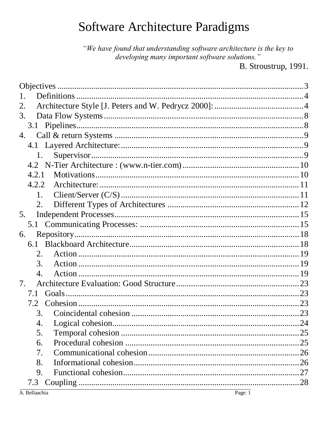# Software Architecture Paradigms

"We have found that understanding software architecture is the key to developing many important software solutions."

B. Stroustrup, 1991.

| 1.          |  |
|-------------|--|
|             |  |
| 3.          |  |
|             |  |
| 4.          |  |
|             |  |
| 1.          |  |
|             |  |
| 4.2.1       |  |
| 4.2.2       |  |
| 1.          |  |
| 2.          |  |
| 5.          |  |
|             |  |
| 6.          |  |
| 6.1         |  |
| 2.          |  |
| 3.          |  |
| 4.          |  |
| $7_{\cdot}$ |  |
| 7.1         |  |
| 7.2         |  |
| 3.          |  |
| 4.          |  |
| 5.          |  |
| 6.          |  |
| 7.          |  |
| 8.          |  |
| 9.          |  |
| 7.3         |  |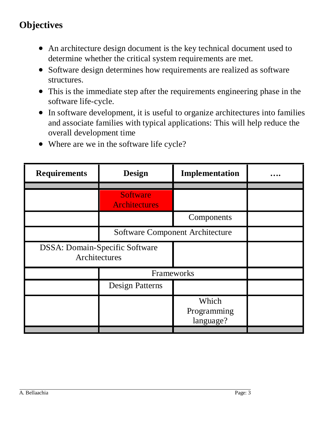# <span id="page-2-0"></span>**Objectives**

- An architecture design document is the key technical document used to determine whether the critical system requirements are met.
- Software design determines how requirements are realized as software structures.
- This is the immediate step after the requirements engineering phase in the software life-cycle.
- In software development, it is useful to organize architectures into families and associate families with typical applications: This will help reduce the overall development time
- Where are we in the software life cycle?

| <b>Requirements</b>                             | <b>Design</b>                           | Implementation                    |  |
|-------------------------------------------------|-----------------------------------------|-----------------------------------|--|
|                                                 |                                         |                                   |  |
|                                                 | <b>Software</b><br><b>Architectures</b> |                                   |  |
|                                                 |                                         | Components                        |  |
|                                                 | <b>Software Component Architecture</b>  |                                   |  |
| DSSA: Domain-Specific Software<br>Architectures |                                         |                                   |  |
|                                                 | Frameworks                              |                                   |  |
|                                                 | <b>Design Patterns</b>                  |                                   |  |
|                                                 |                                         | Which<br>Programming<br>language? |  |
|                                                 |                                         |                                   |  |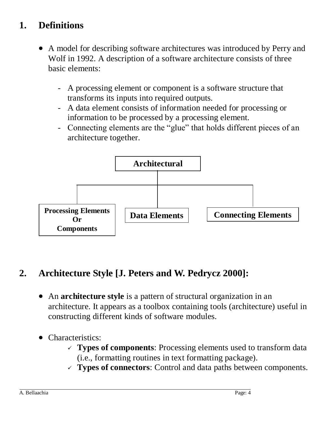# <span id="page-3-0"></span>**1. Definitions**

- A model for describing software architectures was introduced by Perry and Wolf in 1992. A description of a software architecture consists of three basic elements:
	- A processing element or component is a software structure that transforms its inputs into required outputs.
	- A data element consists of information needed for processing or information to be processed by a processing element.
	- Connecting elements are the "glue" that holds different pieces of an architecture together.



### <span id="page-3-1"></span>**2. Architecture Style [J. Peters and W. Pedrycz 2000]:**

- An **architecture style** is a pattern of structural organization in an architecture. It appears as a toolbox containing tools (architecture) useful in constructing different kinds of software modules.
- Characteristics:
	- **Types of components**: Processing elements used to transform data (i.e., formatting routines in text formatting package).
	- **Types of connectors**: Control and data paths between components.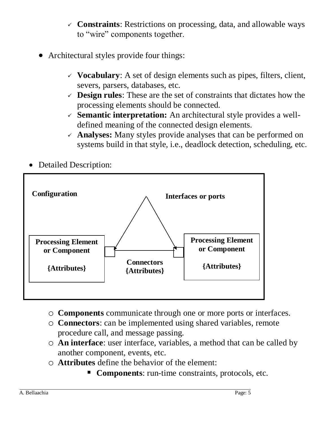- **Constraints**: Restrictions on processing, data, and allowable ways to "wire" components together.
- Architectural styles provide four things:
	- $\checkmark$  Vocabulary: A set of design elements such as pipes, filters, client, severs, parsers, databases, etc.
	- **Design rules**: These are the set of constraints that dictates how the processing elements should be connected.
	- **Semantic interpretation:** An architectural style provides a welldefined meaning of the connected design elements.
	- **Analyses:** Many styles provide analyses that can be performed on systems build in that style, i.e., deadlock detection, scheduling, etc.
- Detailed Description:



- o **Components** communicate through one or more ports or interfaces.
- o **Connectors**: can be implemented using shared variables, remote procedure call, and message passing.
- o **An interface**: user interface, variables, a method that can be called by another component, events, etc.
- o **Attributes** define the behavior of the element:
	- **Components**: run-time constraints, protocols, etc.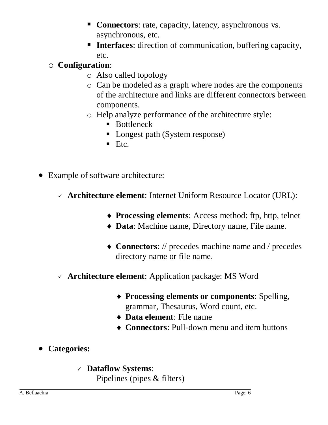- **Connectors:** rate, capacity, latency, asynchronous vs. asynchronous, etc.
- **Interfaces:** direction of communication, buffering capacity, etc.

### o **Configuration**:

- o Also called topology
- o Can be modeled as a graph where nodes are the components of the architecture and links are different connectors between components.
- o Help analyze performance of the architecture style:
	- Bottleneck
	- Longest path (System response)
	- $\blacksquare$  Etc.
- Example of software architecture:
	- **Architecture element**: Internet Uniform Resource Locator (URL):
		- **Processing elements**: Access method: ftp, http, telnet
		- **Data**: Machine name, Directory name, File name.
		- **Connectors**: // precedes machine name and / precedes directory name or file name.
	- **Architecture element**: Application package: MS Word
		- **Processing elements or components**: Spelling, grammar, Thesaurus, Word count, etc.
		- **Data element**: File name
		- **Connectors**: Pull-down menu and item buttons
- **Categories:** 
	- **Dataflow Systems**:

Pipelines (pipes & filters)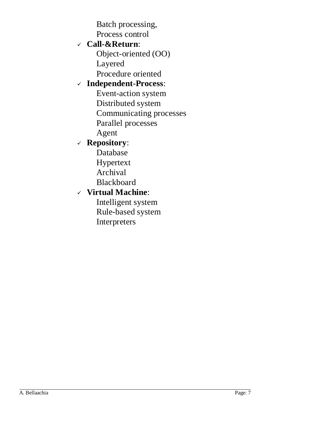Batch processing, Process control

#### **Call-&Return**:

Object-oriented (OO) Layered Procedure oriented

#### **Independent-Process**:

Event-action system

Distributed system

Communicating processes

Parallel processes

Agent

#### **Repository**:

Database

Hypertext

- Archival
- Blackboard

#### **Virtual Machine**:

Intelligent system Rule-based system Interpreters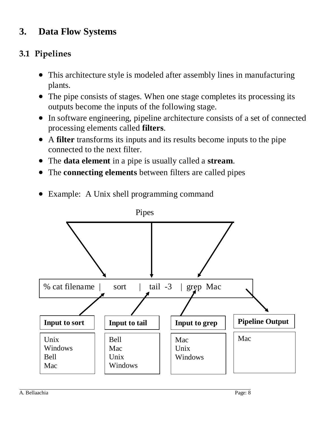# <span id="page-7-0"></span>**3. Data Flow Systems**

# <span id="page-7-1"></span>**3.1 Pipelines**

- This architecture style is modeled after assembly lines in manufacturing plants.
- The pipe consists of stages. When one stage completes its processing its outputs become the inputs of the following stage.
- In software engineering, pipeline architecture consists of a set of connected processing elements called **filters**.
- A **filter** transforms its inputs and its results become inputs to the pipe connected to the next filter.
- The **data element** in a pipe is usually called a **stream**.
- The **connecting elements** between filters are called pipes



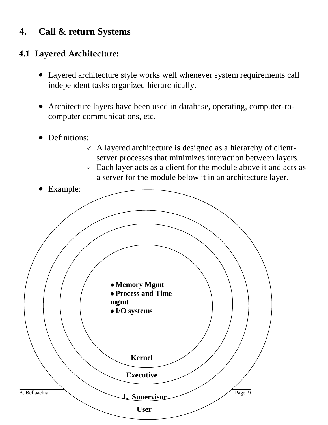# <span id="page-8-0"></span>**4. Call & return Systems**

#### <span id="page-8-1"></span>**4.1 Layered Architecture:**

- Layered architecture style works well whenever system requirements call independent tasks organized hierarchically.
- Architecture layers have been used in database, operating, computer-tocomputer communications, etc.
- Definitions:
	- $\angle$  A layered architecture is designed as a hierarchy of clientserver processes that minimizes interaction between layers.
	- $\checkmark$  Each layer acts as a client for the module above it and acts as a server for the module below it in an architecture layer.

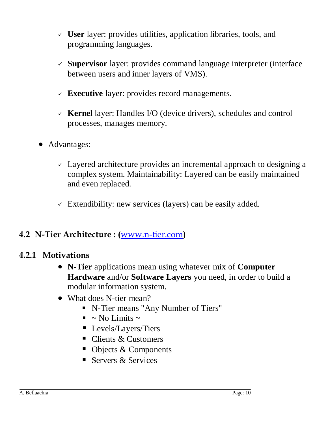- **User** layer: provides utilities, application libraries, tools, and programming languages.
- **Supervisor** layer: provides command language interpreter (interface between users and inner layers of VMS).
- **Executive** layer: provides record managements.
- **Kernel** layer: Handles I/O (device drivers), schedules and control processes, manages memory.
- Advantages:
	- $\sim$  Layered architecture provides an incremental approach to designing a complex system. Maintainability: Layered can be easily maintained and even replaced.
	- $\checkmark$  Extendibility: new services (layers) can be easily added.

#### <span id="page-9-0"></span>**4.2 N-Tier Architecture : (**[www.n-tier.com](http://www.n-tier.com/)**)**

#### <span id="page-9-1"></span>**4.2.1 Motivations**

- **N-Tier** applications mean using whatever mix of **Computer Hardware** and/or **Software Layers** you need, in order to build a modular information system.
- What does N-tier mean?
	- N-Tier means "Any Number of Tiers"
	- $\blacksquare$  ~ No Limits ~
	- **Levels/Layers/Tiers**
	- Clients & Customers
	- Objects & Components
	- Servers & Services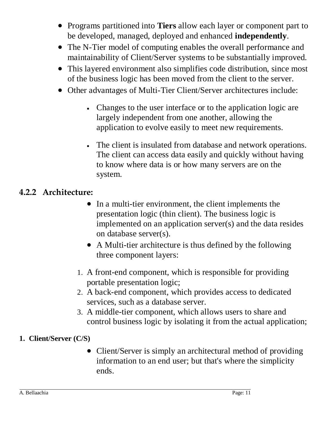- Programs partitioned into **Tiers** allow each layer or component part to be developed, managed, deployed and enhanced **independently**.
- The N-Tier model of computing enables the overall performance and maintainability of Client/Server systems to be substantially improved.
- This layered environment also simplifies code distribution, since most of the business logic has been moved from the client to the server.
- Other advantages of Multi-Tier Client/Server architectures include:
	- Changes to the user interface or to the application logic are largely independent from one another, allowing the application to evolve easily to meet new requirements.
	- The client is insulated from database and network operations. The client can access data easily and quickly without having to know where data is or how many servers are on the system.

#### <span id="page-10-0"></span>**4.2.2 Architecture:**

- In a multi-tier environment, the client implements the presentation logic (thin client). The business logic is implemented on an application server(s) and the data resides on database server(s).
- A Multi-tier architecture is thus defined by the following three component layers:
- 1. A front-end component, which is responsible for providing portable presentation logic;
- 2. A back-end component, which provides access to dedicated services, such as a database server.
- 3. A middle-tier component, which allows users to share and control business logic by isolating it from the actual application;
- <span id="page-10-1"></span>**1. Client/Server (C/S)** 
	- Client/Server is simply an architectural method of providing information to an end user; but that's where the simplicity ends.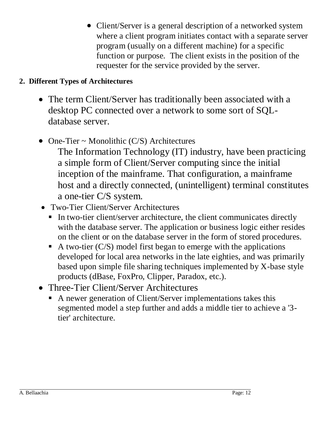• Client/Server is a general description of a networked system where a client program initiates contact with a separate server program (usually on a different machine) for a specific function or purpose. The client exists in the position of the requester for the service provided by the server.

#### <span id="page-11-0"></span>**2. Different Types of Architectures**

- The term Client/Server has traditionally been associated with a desktop PC connected over a network to some sort of SQLdatabase server.
- One-Tier  $\sim$  Monolithic (C/S) Architectures
	- The Information Technology (IT) industry, have been practicing a simple form of Client/Server computing since the initial inception of the mainframe. That configuration, a mainframe host and a directly connected, (unintelligent) terminal constitutes a one-tier C/S system.
- Two-Tier Client/Server Architectures
	- In two-tier client/server architecture, the client communicates directly with the database server. The application or business logic either resides on the client or on the database server in the form of stored procedures.
	- A two-tier  $(C/S)$  model first began to emerge with the applications developed for local area networks in the late eighties, and was primarily based upon simple file sharing techniques implemented by X-base style products (dBase, FoxPro, Clipper, Paradox, etc.).
- Three-Tier Client/Server Architectures
	- A newer generation of Client/Server implementations takes this segmented model a step further and adds a middle tier to achieve a '3 tier' architecture.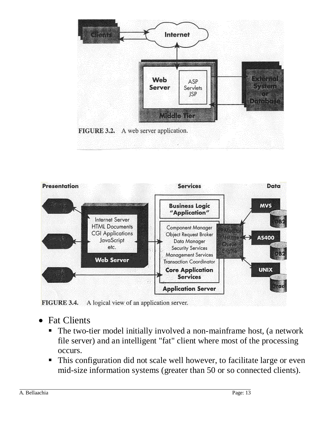



FIGURE 3.4. A logical view of an application server.

- Fat Clients
	- The two-tier model initially involved a non-mainframe host, (a network file server) and an intelligent "fat" client where most of the processing occurs.
	- This configuration did not scale well however, to facilitate large or even mid-size information systems (greater than 50 or so connected clients).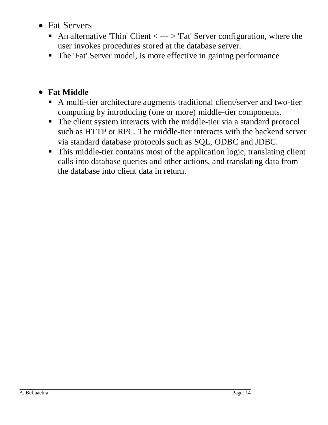- Fat Servers
	- An alternative 'Thin' Client  $\langle$  ---  $\rangle$  'Fat' Server configuration, where the user invokes procedures stored at the database server.
	- The 'Fat' Server model, is more effective in gaining performance

### **Fat Middle**

- A multi-tier architecture augments traditional client/server and two-tier computing by introducing (one or more) middle-tier components.
- The client system interacts with the middle-tier via a standard protocol such as HTTP or RPC. The middle-tier interacts with the backend server via standard database protocols such as SQL, ODBC and JDBC.
- This middle-tier contains most of the application logic, translating client calls into database queries and other actions, and translating data from the database into client data in return.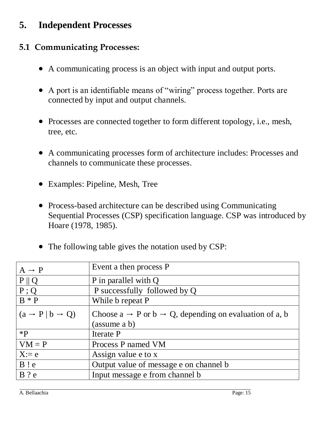### <span id="page-14-0"></span>**5. Independent Processes**

#### <span id="page-14-1"></span>**5.1 Communicating Processes:**

- A communicating process is an object with input and output ports.
- A port is an identifiable means of "wiring" process together. Ports are connected by input and output channels.
- Processes are connected together to form different topology, i.e., mesh, tree, etc.
- A communicating processes form of architecture includes: Processes and channels to communicate these processes.
- Examples: Pipeline, Mesh, Tree
- Process-based architecture can be described using Communicating Sequential Processes (CSP) specification language. CSP was introduced by Hoare (1978, 1985).
- The following table gives the notation used by CSP:

| $A \rightarrow P$                     | Event a then process P                                                          |
|---------------------------------------|---------------------------------------------------------------------------------|
| $P \parallel Q$                       | P in parallel with Q                                                            |
| $P$ ; Q                               | P successfully followed by Q                                                    |
| $B * P$                               | While b repeat P                                                                |
| $(a \rightarrow P   b \rightarrow Q)$ | Choose $a \rightarrow P$ or $b \rightarrow Q$ , depending on evaluation of a, b |
|                                       | (assume a b)                                                                    |
| $*{\bf p}$                            | Iterate P                                                                       |
| $VM = P$                              | Process P named VM                                                              |
| $X:=e$                                | Assign value e to x                                                             |
| B!                                    | Output value of message e on channel b                                          |
| $B$ ? e                               | Input message e from channel b                                                  |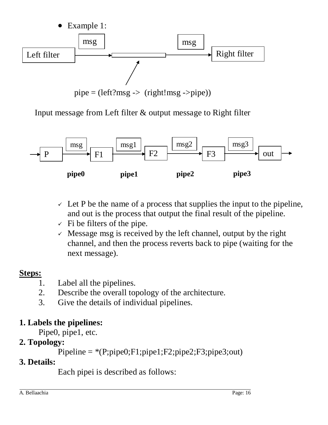

Input message from Left filter  $\&$  output message to Right filter



- $\vee$  Let P be the name of a process that supplies the input to the pipeline, and out is the process that output the final result of the pipeline.
- $\checkmark$  Fi be filters of the pipe.
- $\checkmark$  Message msg is received by the left channel, output by the right channel, and then the process reverts back to pipe (waiting for the next message).

### **Steps:**

- 1. Label all the pipelines.
- 2. Describe the overall topology of the architecture.
- 3. Give the details of individual pipelines.

### **1. Labels the pipelines:**

Pipe0, pipe1, etc.

### **2. Topology:**

```
Pipeline = *(P;pipe0; F1; pipe1; F2;pipe2; F3; pipe3; out)
```
### **3. Details:**

Each pipei is described as follows: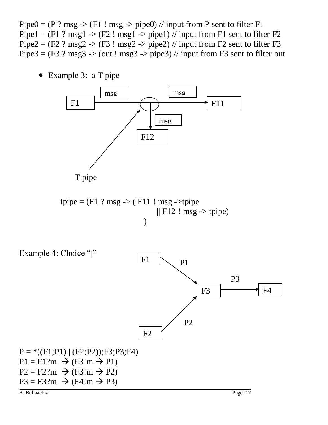Pipe $0 = (P ? msg \rightarrow (F1 ! msg \rightarrow pipe0)$  // input from P sent to filter F1 Pipe1 =  $(F1 ? msg1 > (F2 ! msg1 > pipe1)$  // input from F1 sent to filter F2 Pipe2 =  $(F2 ? \text{msg2}$  ->  $(F3 ! \text{msg2}$  -> pipe2) // input from F2 sent to filter F3 Pipe3 =  $(F3 ? \text{msg3}$  ->  $(\text{out} ! \text{msg3}$  ->  $\text{pipe3})$  // input from F3 sent to filter out

Example 3: a T pipe

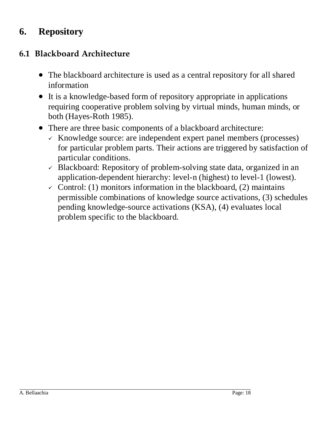### <span id="page-17-0"></span>**6. Repository**

### <span id="page-17-1"></span>**6.1 Blackboard Architecture**

- The blackboard architecture is used as a central repository for all shared information
- It is a knowledge-based form of repository appropriate in applications requiring cooperative problem solving by virtual minds, human minds, or both (Hayes-Roth 1985).
- There are three basic components of a blackboard architecture:
	- $\times$  Knowledge source: are independent expert panel members (processes) for particular problem parts. Their actions are triggered by satisfaction of particular conditions.
	- $\checkmark$  Blackboard: Repository of problem-solving state data, organized in an application-dependent hierarchy: level-n (highest) to level-1 (lowest).
	- $\checkmark$  Control: (1) monitors information in the blackboard, (2) maintains permissible combinations of knowledge source activations, (3) schedules pending knowledge-source activations (KSA), (4) evaluates local problem specific to the blackboard.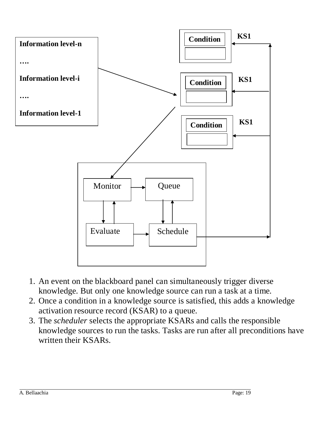

- 1. An event on the blackboard panel can simultaneously trigger diverse knowledge. But only one knowledge source can run a task at a time.
- 2. Once a condition in a knowledge source is satisfied, this adds a knowledge activation resource record (KSAR) to a queue.
- 3. The *scheduler* selects the appropriate KSARs and calls the responsible knowledge sources to run the tasks. Tasks are run after all preconditions have written their KSARs.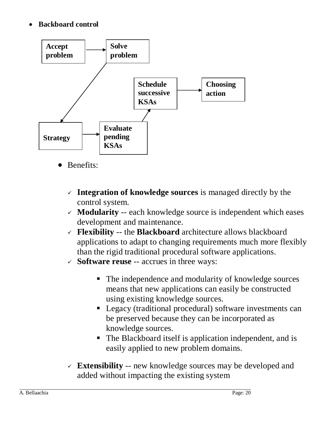#### **Backboard control**



- Benefits:
	- **Integration of knowledge sources** is managed directly by the control system.
	- **Modularity** -- each knowledge source is independent which eases development and maintenance.
	- **Flexibility** -- the **Blackboard** architecture allows blackboard applications to adapt to changing requirements much more flexibly than the rigid traditional procedural software applications.
	- **Software reuse** -- accrues in three ways:
		- The independence and modularity of knowledge sources means that new applications can easily be constructed using existing knowledge sources.
		- **Legacy (traditional procedural) software investments can** be preserved because they can be incorporated as knowledge sources.
		- The Blackboard itself is application independent, and is easily applied to new problem domains.
	- **Extensibility** -- new knowledge sources may be developed and added without impacting the existing system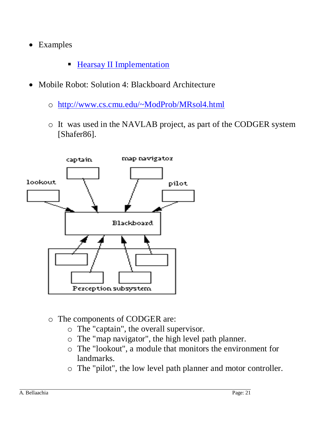- Examples
	- **[Hearsay II Implementation](http://www.seas.gwu.edu/~bell/csci210/lectures/blackboard_architecture.htm)**
- Mobile Robot: Solution 4: Blackboard Architecture
	- o <http://www.cs.cmu.edu/~ModProb/MRsol4.html>
	- o It was used in the NAVLAB project, as part of the CODGER system [Shafer86].



- o The components of CODGER are:
	- o The "captain", the overall supervisor.
	- o The "map navigator", the high level path planner.
	- o The "lookout", a module that monitors the environment for landmarks.
	- o The "pilot", the low level path planner and motor controller.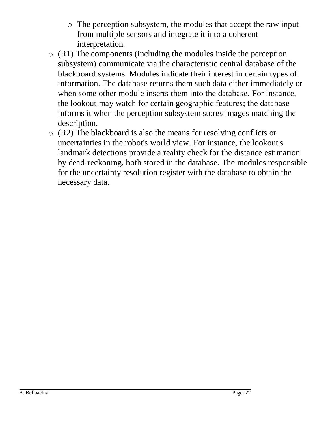- o The perception subsystem, the modules that accept the raw input from multiple sensors and integrate it into a coherent interpretation.
- o (R1) The components (including the modules inside the perception subsystem) communicate via the characteristic central database of the blackboard systems. Modules indicate their interest in certain types of information. The database returns them such data either immediately or when some other module inserts them into the database. For instance, the lookout may watch for certain geographic features; the database informs it when the perception subsystem stores images matching the description.
- o (R2) The blackboard is also the means for resolving conflicts or uncertainties in the robot's world view. For instance, the lookout's landmark detections provide a reality check for the distance estimation by dead-reckoning, both stored in the database. The modules responsible for the uncertainty resolution register with the database to obtain the necessary data.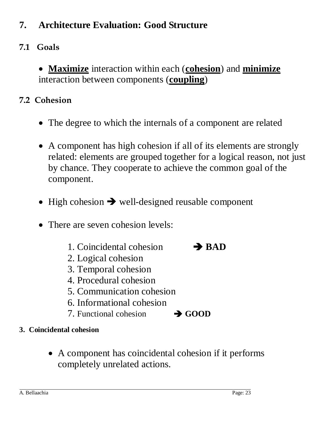# <span id="page-22-0"></span>**7. Architecture Evaluation: Good Structure**

# <span id="page-22-1"></span>**7.1 Goals**

 **Maximize** interaction within each (**cohesion**) and **minimize** interaction between components (**coupling**)

### <span id="page-22-2"></span>**7.2 Cohesion**

- The degree to which the internals of a component are related
- A component has high cohesion if all of its elements are strongly related: elements are grouped together for a logical reason, not just by chance. They cooperate to achieve the common goal of the component.
- $\bullet$  High cohesion  $\rightarrow$  well-designed reusable component
- There are seven cohesion levels:
	- 1. Coincidental cohesion **BAD**
- 
- 2. Logical cohesion
- 3. Temporal cohesion
- 4. Procedural cohesion
- 5. Communication cohesion
- 6. Informational cohesion
- 7. Functional cohesion **GOOD**
- <span id="page-22-3"></span>**3. Coincidental cohesion**
	- A component has coincidental cohesion if it performs completely unrelated actions.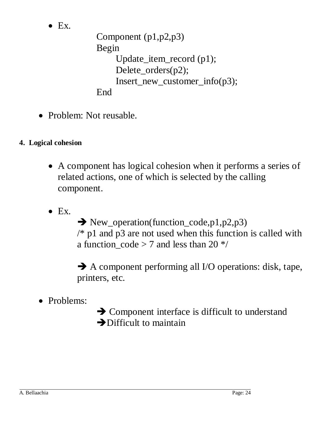$\bullet$  Ex.

```
Component (p1,p2,p3)
Begin
     Update_item_record (p1);
    Delete_orders(p2);
    Insert_new_customer_info(p3);
End
```
- Problem: Not reusable.
- <span id="page-23-0"></span>**4. Logical cohesion**
	- A component has logical cohesion when it performs a series of related actions, one of which is selected by the calling component.
	- $\bullet$  Ex.

 $\rightarrow$  New\_operation(function\_code,p1,p2,p3)  $/*$  p1 and p3 are not used when this function is called with a function  $\code{ } z 7$  and less than 20  $\frac{*}{ }$ 

 A component performing all I/O operations: disk, tape, printers, etc.

• Problems:

**→ Component interface is difficult to understand**  $\rightarrow$  Difficult to maintain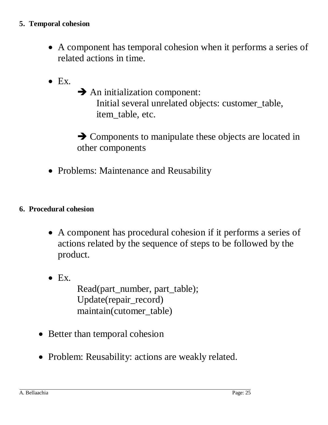- <span id="page-24-0"></span> A component has temporal cohesion when it performs a series of related actions in time.
- $\bullet$  Ex.
- $\rightarrow$  An initialization component: Initial several unrelated objects: customer\_table, item table, etc.

 $\rightarrow$  Components to manipulate these objects are located in other components

• Problems: Maintenance and Reusability

#### <span id="page-24-1"></span>**6. Procedural cohesion**

- A component has procedural cohesion if it performs a series of actions related by the sequence of steps to be followed by the product.
- $\bullet$  Ex. Read(part\_number, part\_table); Update(repair\_record) maintain(cutomer\_table)
- Better than temporal cohesion
- Problem: Reusability: actions are weakly related.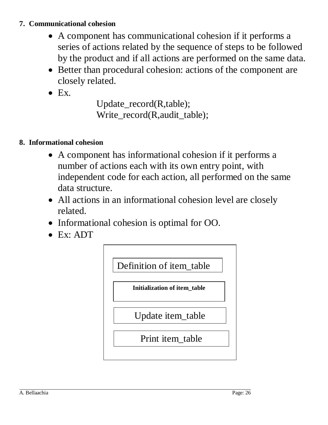#### <span id="page-25-0"></span>**7. Communicational cohesion**

- A component has communicational cohesion if it performs a series of actions related by the sequence of steps to be followed by the product and if all actions are performed on the same data.
- Better than procedural cohesion: actions of the component are closely related.
- $\bullet$  Ex.

Update\_record(R,table); Write\_record(R,audit\_table);

#### <span id="page-25-1"></span>**8. Informational cohesion**

- A component has informational cohesion if it performs a number of actions each with its own entry point, with independent code for each action, all performed on the same data structure.
- All actions in an informational cohesion level are closely related.
- Informational cohesion is optimal for OO.
- Ex: ADT

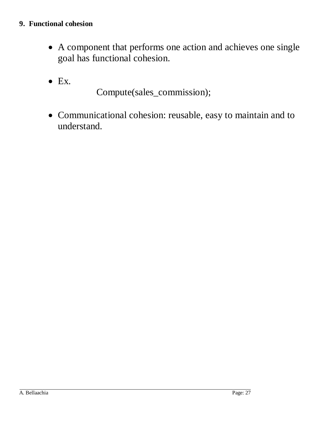#### <span id="page-26-0"></span>**9. Functional cohesion**

- A component that performs one action and achieves one single goal has functional cohesion.
- $\bullet$  Ex.

Compute(sales\_commission);

 Communicational cohesion: reusable, easy to maintain and to understand.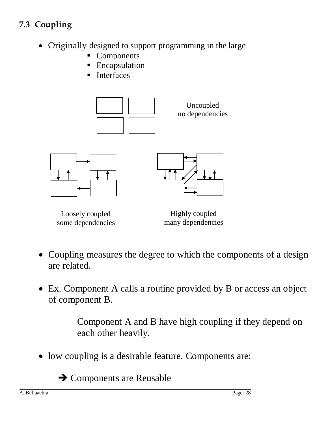# <span id="page-27-0"></span>**7.3 Coupling**

- Originally designed to support programming in the large
	- Components
	- **Encapsulation**
	- **Interfaces**







Loosely coupled some dependencies

Highly coupled many dependencies

- Coupling measures the degree to which the components of a design are related.
- Ex. Component A calls a routine provided by B or access an object of component B.

Component A and B have high coupling if they depend on each other heavily.

• low coupling is a desirable feature. Components are:

**→ Components are Reusable**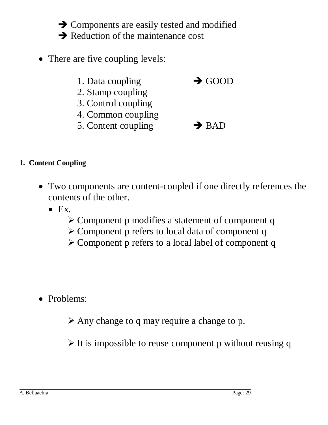$\rightarrow$  Components are easily tested and modified  $\rightarrow$  Reduction of the maintenance cost

- There are five coupling levels:
	- 1. Data coupling  $\rightarrow$  GOOD
	- 2. Stamp coupling
	- 3. Control coupling
	- 4. Common coupling
	- 5. Content coupling  $\rightarrow$  BAD
- <span id="page-28-0"></span>**1. Content Coupling**
	- Two components are content-coupled if one directly references the contents of the other.
		- $\bullet$  Ex.
			- Component p modifies a statement of component q
			- Component p refers to local data of component q
			- Component p refers to a local label of component q

• Problems:

 $\triangleright$  Any change to q may require a change to p.

 $\triangleright$  It is impossible to reuse component p without reusing q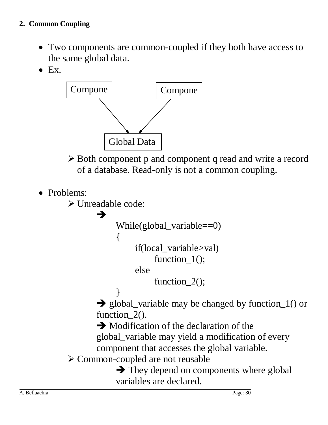- <span id="page-29-0"></span>• Two components are common-coupled if they both have access to the same global data.
- $\bullet$  Ex.



 Both component p and component q read and write a record of a database. Read-only is not a common coupling.

• Problems:

 $\triangleright$  Unreadable code:

{

→

While(global\_variable==0)

if(local\_variable>val)

```
function_1();
```
else

function\_2();

}  $\rightarrow$  global\_variable may be changed by function\_1() or function 2().

 $\rightarrow$  Modification of the declaration of the

global\_variable may yield a modification of every component that accesses the global variable.

 $\triangleright$  Common-coupled are not reusable

 $\rightarrow$  They depend on components where global variables are declared.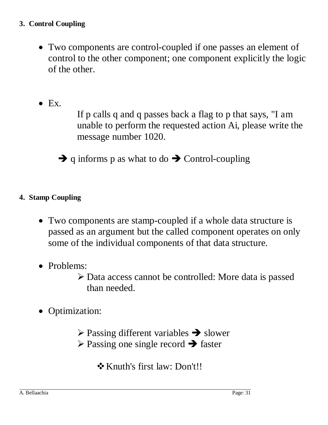#### <span id="page-30-0"></span>**3. Control Coupling**

- Two components are control-coupled if one passes an element of control to the other component; one component explicitly the logic of the other.
- $\bullet$  Ex.

If p calls q and q passes back a flag to p that says, "I am unable to perform the requested action Ai, please write the message number 1020.

 $\rightarrow$  q informs p as what to do  $\rightarrow$  Control-coupling

#### <span id="page-30-1"></span>**4. Stamp Coupling**

- Two components are stamp-coupled if a whole data structure is passed as an argument but the called component operates on only some of the individual components of that data structure.
- Problems:

 Data access cannot be controlled: More data is passed than needed.

• Optimization:

 $\triangleright$  Passing different variables  $\rightarrow$  slower  $\triangleright$  Passing one single record  $\rightarrow$  faster

Knuth's first law: Don't!!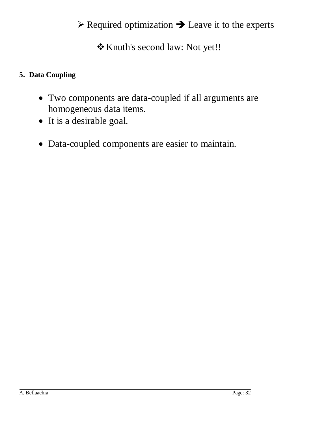# $\triangleright$  Required optimization  $\rightarrow$  Leave it to the experts

Knuth's second law: Not yet!!

#### <span id="page-31-0"></span>**5. Data Coupling**

- Two components are data-coupled if all arguments are homogeneous data items.
- It is a desirable goal.
- Data-coupled components are easier to maintain.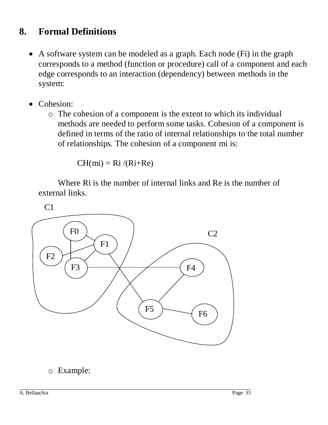### <span id="page-32-0"></span>**8. Formal Definitions**

- A software system can be modeled as a graph. Each node (Fi) in the graph corresponds to a method (function or procedure) call of a component and each edge corresponds to an interaction (dependency) between methods in the system:
- Cohesion:
	- o The cohesion of a component is the extent to which its individual methods are needed to perform some tasks. Cohesion of a component is defined in terms of the ratio of internal relationships to the total number of relationships. The cohesion of a component mi is:

 $CH(mi) = Ri/(Ri+Re)$ 

Where Ri is the number of internal links and Re is the number of external links.

 $C<sub>1</sub>$ 



### o Example: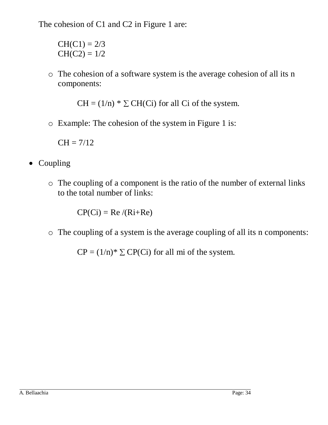The cohesion of C1 and C2 in Figure 1 are:

 $CH(C1) = 2/3$  $CH(C2) = 1/2$ 

o The cohesion of a software system is the average cohesion of all its n components:

 $CH = (1/n) * \sum CH(Ci)$  for all Ci of the system.

o Example: The cohesion of the system in Figure 1 is:

 $CH = 7/12$ 

- Coupling
	- o The coupling of a component is the ratio of the number of external links to the total number of links:

 $CP(Ci) = Re/(Ri+Re)$ 

o The coupling of a system is the average coupling of all its n components:

 $CP = (1/n)^* \sum CP(Ci)$  for all mi of the system.